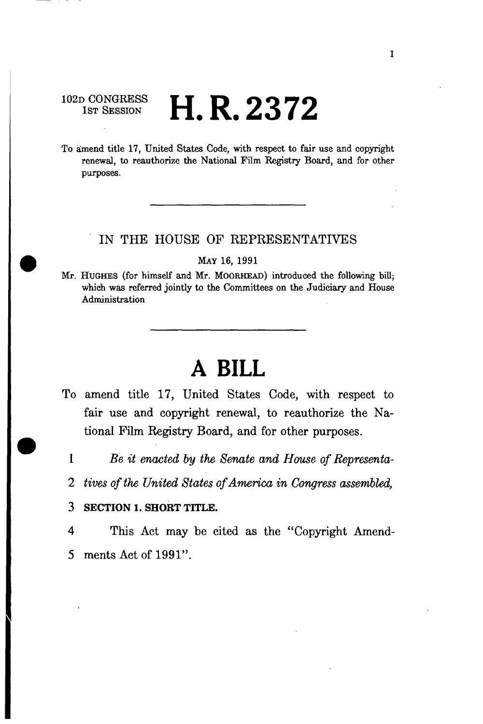# 102D CONGRESS **II D O O 70** 1st Session  $\prod$ .  $\prod$ .  $\Delta$ .  $\prod$

To amend title 17, United States Code, with respect to fair use and copyright renewal, to reauthorize the National Film Registry Board, and for other purposes.

### IN THE HOUSE OF REPRESENTATIVES

MAY 16, 1991

Mr. HUGHES (for himself and Mr. MOORHEAD) introduced the following bill; which was referred jointly to the Committees on the Judiciary and House Administration

# **A BILL**

- To amend title 17, United States Code, with respect to fair use and copyright renewal, to reauthorize the National Film Registry Board, and for other purposes.
	- 1 *Be it enacted oy the Senate and House of Representa-*

*2 tives of the United States of America in Congress assembled,* 

**3 SECTION 1. SHORT TITLE.** 

4 This Act may be cited as the "Copyright Amend-5 ments Act of 1991".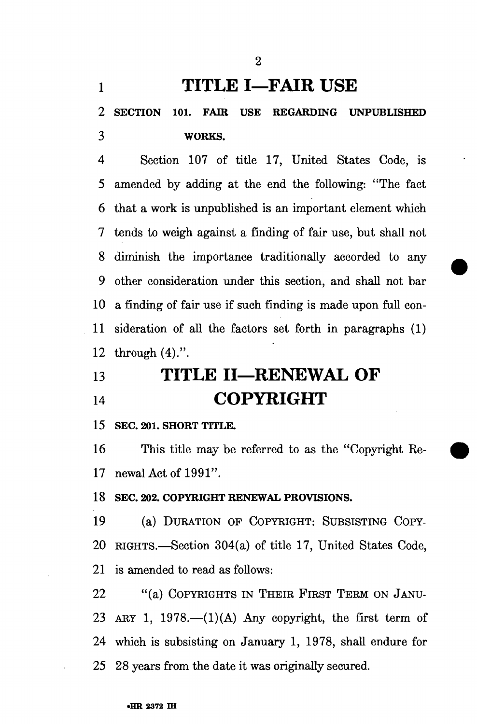## **l TITLE I—FAIR USE**

**2 SECTION 101. FAIR USE REGARDING UNPUBLISHED 3 WORKS.** 

4 Section 107 of title 17, United States Code, is 5 amended by adding at the end the following: "The fact 6 that a work is unpublished is an important element which 7 tends to weigh against a finding of fair use, but shall not 8 diminish the importance traditionally accorded to any 9 other consideration under this section, and shall not bar 10 a finding of fair use if such finding is made upon full con-11 sideration of all the factors set forth in paragraphs (1) 12 through (4).".

# **13 TITLE II—RENEWAL OF 14 COPYRIGHT**

**15 SEC. 201. SHORT TITLE.** 

16 This title may be referred to as the "Copyright Re-17 newal Act of 1991".

**18 SEC. 202. COPYRIGHT RENEWAL PROVISIONS.** 

19 (a) DURATION OF COPYRIGHT: SUBSISTING COPY-20 RIGHTS.—Section 304(a) of title 17, United States Code, 21 is amended to read as follows:

22 "(a) COPYRIGHTS IN THEIR FIRST TERM ON JANU-23 ARY 1, 1978.— $(1)(A)$  Any copyright, the first term of 24 which is subsisting on January 1, 1978, shall endure for 25 28 years from the date it was originally secured.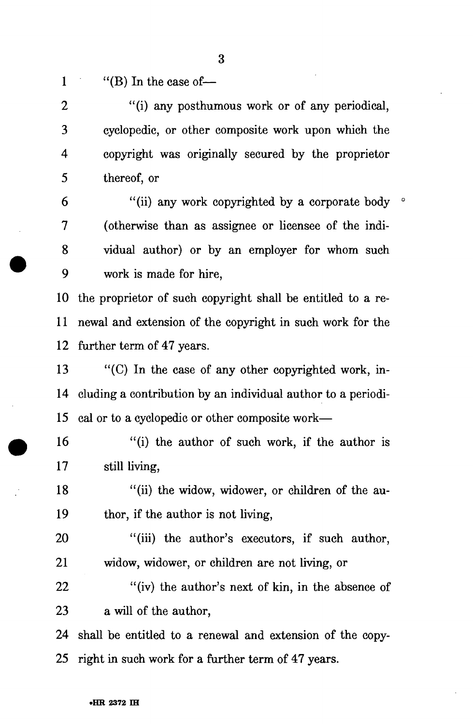3

1  $"$ (B) In the case of  $-$ 

2 "(i) any posthumous work or of any periodical, 3 cyclopedic, or other composite work upon which the 4 copyright was originally secured by the proprietor 5 thereof, or

6 "(ii) any work copyrighted by a corporate body 7 (otherwise than as assignee or licensee of the indi-8 vidual author) or by an employer for whom such 9 work is made for hire,

10 the proprietor of such copyright shall be entitled to a re-11 newal and extension of the copyright in such work for the 12 further term of 47 years.

13 "(C) In the case of any other copyrighted work, in-14 eluding a contribution by an individual author to a periodi-15 cal or to a cyclopedic or other composite work—

16 "(i) the author of such work, if the author is 17 still living,

18 "(ii) the widow, widower, or children of the au-19 thor, if the author is not living,

20 "(iii) the author's executors, if such author, 21 widow, widower, or children are not living, or

22 "(iv) the author's next of kin, in the absence of 23 a will of the author,

24 shall be entitled to a renewal and extension of the copy-25 right in such work for a further term of 47 years.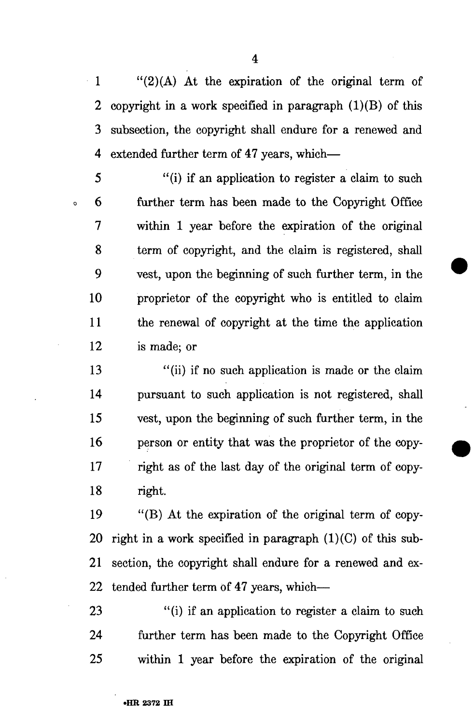1  $\frac{1}{2}(2)$  (A) At the expiration of the original term of 2 copyright in a work specified in paragraph (1)(B) of this 3 subsection, the copyright shall endure for a renewed and 4 extended further term of 47 years, which—

5 "(i) if an application to register a claim to such 6 further term has been made to the Copyright Office 7 within 1 year before the expiration of the original 8 term of copyright, and the claim is registered, shall 9 vest, upon the beginning of such further term, in the 10 proprietor of the copyright who is entitled to claim 11 the renewal of copyright at the time the application 12 is made; or

13 "(ii) if no such application is made or the claim 14 pursuant to such application is not registered, shall 15 vest, upon the beginning of such further term, in the 16 person or entity that was the proprietor of the copy-17 right as of the last day of the original term of copy-18 right.

19 "(B) At the expiration of the original term of copy-20 right in a work specified in paragraph  $(1)(C)$  of this sub-21 section, the copyright shall endure for a renewed and ex-22 tended further term of 47 years, which—

23 "(i) if an application to register a claim to such 24 further term has been made to the Copyright Office 25 within 1 year before the expiration of the original

 $\circ$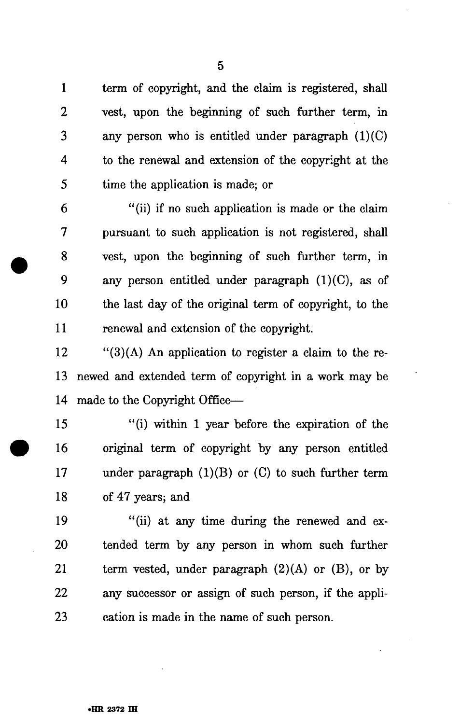1 term of copyright, and the claim is registered, shall 2 vest, upon the beginning of such further term, in 3 any person who is entitled under paragraph (1)(C) 4 to the renewal and extension of the copyright at the 5 time the application is made; or

6 "(ii) if no such application is made or the claim 7 pursuant to such application is not registered, shall 8 vest, upon the beginning of such further term, in 9 any person entitled under paragraph (1)(C), as of 10 the last day of the original term of copyright, to the 11 renewal and extension of the copyright.

 $12$  "(3)(A) An application to register a claim to the re-13 newed and extended term of copyright in a work may be 14 made to the Copyright Office—

15 "(i) within 1 year before the expiration of the 16 original term of copyright by any person entitled 17 under paragraph (1)(B) or (C) to such further term 18 of 47 years; and

19 "(ii) at any time during the renewed and ex-20 tended term by any person in whom such further 21 term vested, under paragraph  $(2)(A)$  or  $(B)$ , or by 22 any successor or assign of such person, if the appli-23 cation is made in the name of such person.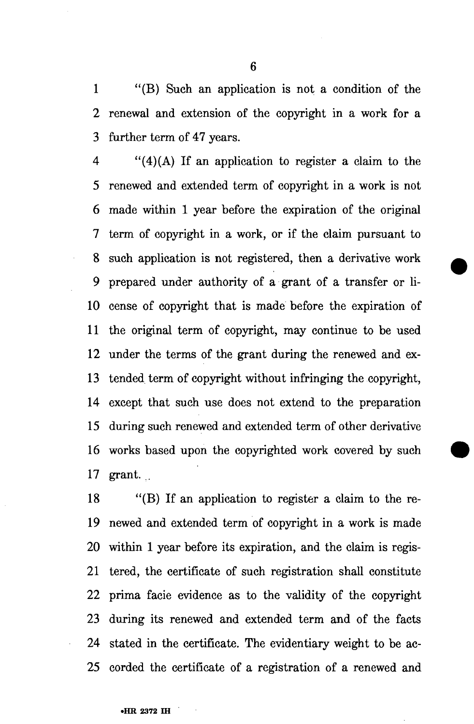1 "(B) Such an application is not a condition of the 2 renewal and extension of the copyright in a work for a 3 further term of 47 years.

 $4$  "(4)(A) If an application to register a claim to the 5 renewed and extended term of copyright in a work is not 6 made within 1 year before the expiration of the original 7 term of copyright in a work, or if the claim pursuant to 8 such application is not registered, then a derivative work 9 prepared under authority of a grant of a transfer or li-10 cense of copyright that is made before the expiration of 11 the original term of copyright, may continue to be used 12 under the terms of the grant during the renewed and ex-13 tended term of copyright without infringing the copyright, 14 except that such use does not extend to the preparation 15 during such renewed and extended term of other derivative 16 works based upon the copyrighted work covered by such 17 grant. .

18 "(B) If an application to register a claim to the re-19 newed and extended term of copyright in a work is made 20 within 1 year before its expiration, and the claim is regis-21 tered, the certificate of such registration shall constitute 22 prima facie evidence as to the validity of the copyright 23 during its renewed and extended term and of the facts 24 stated in the certificate. The evidentiary weight to be ac-25 corded the certificate of a registration of a renewed and

#### **•HR 2372 IH**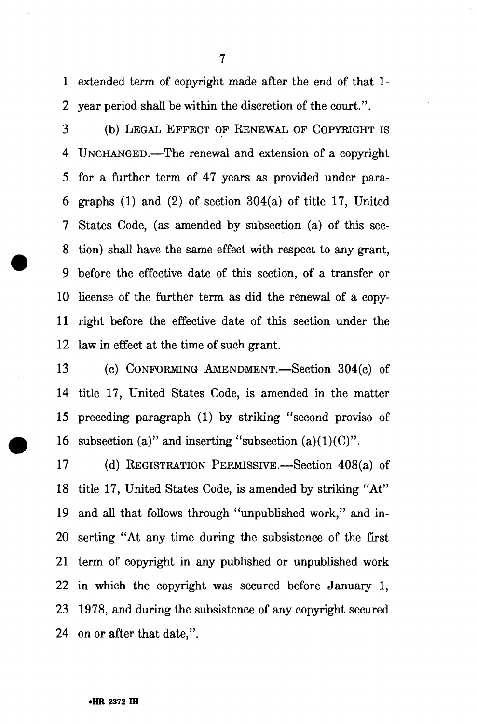1 extended term of copyright made after the end of that 1- 2 year period shall be within the discretion of the court.".

3 (b) LEGAL EFFECT OF RENEWAL OF COPYRIGHT IS 4 UNCHANGED.—The renewal and extension of a copyright 5 for a further term of 47 years as provided under para-6 graphs (1) and (2) of section 304(a) of title 17, United 7 States Code, (as amended by subsection (a) of this sec-8 tion) shall have the same effect with respect to any grant, 9 before the effective date of this section, of a transfer or 10 license of the farther term as did the renewal of a copy-11 right before the effective date of this section under the 12 law in effect at the time of such grant.

13 (c) CONFORMING AMENDMENT.—Section 304(c) of 14 title 17, United States Code, is amended in the matter 15 preceding paragraph (1) by striking "second proviso of 16 subsection (a)" and inserting "subsection  $(a)(1)(C)$ ".

17 (d) REGISTRATION PERMISSIVE.—Section 408(a) of 18 title 17, United States Code, is amended by striking "At" 19 and all that follows through "unpublished work," and in-20 serting "At any time during the subsistence of the first 21 term of copyright in any published or unpublished work 22 in which the copyright was secured before January 1, 23 1978, and during the subsistence of any copyright secured 24 on or after that date,".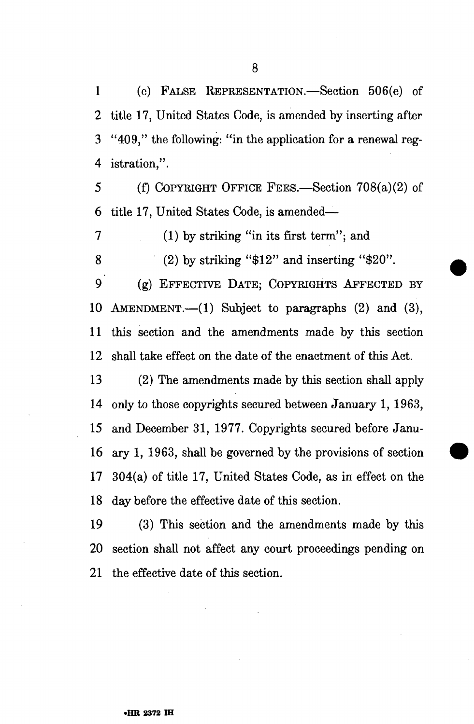1 (e) FALSE REPRESENTATION.—Section 506(e) of 2 title 17, United States Code, is amended by inserting after 3 "409," the following: "in the application for a renewal reg-4 istration,".

5 (f) COPYRIGHT OFFICE FEES.—Section 708(a)(2) of 6 title 17, United States Code, is amended—

7 (1) by striking "in its first term"; and

8 (2) by striking " $$12"$  and inserting " $$20"$ .

9 (g) EFFECTIVE DATE; COPYRIGHTS AFFECTED BY 10 AMENDMENT.—(1) Subject to paragraphs (2) and (3), 11 this section and the amendments made by this section 12 shall take effect on the date of the enactment of this Act.

13 (2) The amendments made by this section shall apply 14 only to those copyrights secured between January 1, 1963, 15 and December 31, 1977. Copyrights secured before Janu-16 ary 1, 1963, shall be governed by the provisions of section 17 304(a) of title 17, United States Code, as in effect on the 18 day before the effective date of this section.

19 (3) This section and the amendments made by this 20 section shall not affect any court proceedings pending on 21 the effective date of this section.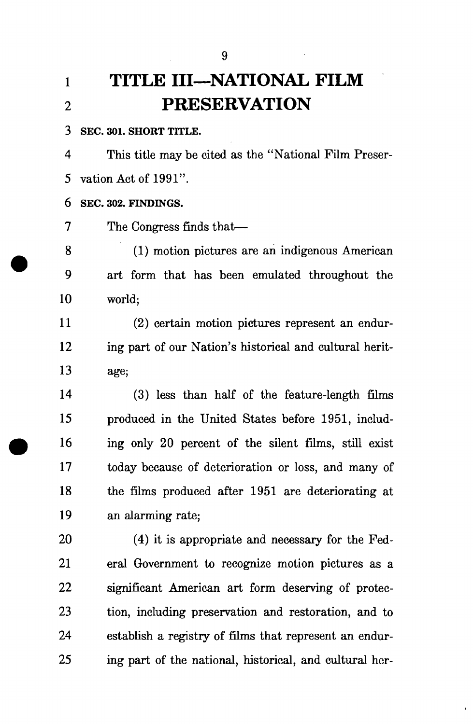**1 TITLE III—NATIONAL FILM 2 PRESERVATION 3 SEC. 301. SHORT TITLE.**  4 This title may be cited as the "National Film Preser-5 vation Act of 1991". **6 SEC. 302. FINDINGS.**  7 The Congress finds that— 8 (1) motion pictures are an indigenous American 9 art form that has been emulated throughout the 10 world; 11 (2) certain motion pictures represent an endur-12 ing part of our Nation's historical and cultural herit-13 age; 14 (3) less than half of the feature-length films 15 produced in the United States before 1951, includ-16 ing only 20 percent of the silent films, still exist 17 today because of deterioration or loss, and many of 18 the films produced after 1951 are deteriorating at 19 an alarming rate; 20 (4) it is appropriate and necessary for the Fed-21 eral Government to recognize motion pictures as a 22 significant American art form deserving of protec-

24 establish a registry of films that represent an endur-25 ing part of the national, historical, and cultural her-

23 tion, including preservation and restoration, and to

9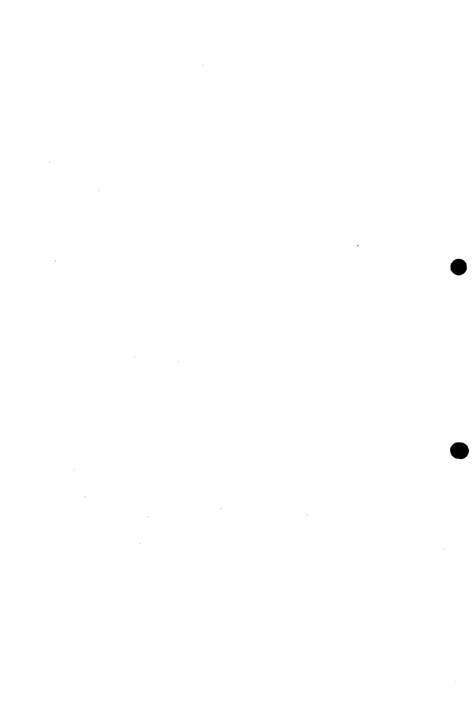$\label{eq:2.1} \frac{1}{\sqrt{2}}\int_{\mathbb{R}^3}\frac{1}{\sqrt{2}}\left(\frac{1}{\sqrt{2}}\right)^2\frac{1}{\sqrt{2}}\left(\frac{1}{\sqrt{2}}\right)^2\frac{1}{\sqrt{2}}\left(\frac{1}{\sqrt{2}}\right)^2\frac{1}{\sqrt{2}}\left(\frac{1}{\sqrt{2}}\right)^2\frac{1}{\sqrt{2}}\left(\frac{1}{\sqrt{2}}\right)^2\frac{1}{\sqrt{2}}\frac{1}{\sqrt{2}}\frac{1}{\sqrt{2}}\frac{1}{\sqrt{2}}\frac{1}{\sqrt{2}}\frac{1}{\sqrt{2}}$ 

 $\label{eq:2.1} \frac{1}{2}\sum_{i=1}^n\frac{1}{2}\sum_{i=1}^n\frac{1}{2}\sum_{i=1}^n\frac{1}{2}\sum_{i=1}^n\frac{1}{2}\sum_{i=1}^n\frac{1}{2}\sum_{i=1}^n\frac{1}{2}\sum_{i=1}^n\frac{1}{2}\sum_{i=1}^n\frac{1}{2}\sum_{i=1}^n\frac{1}{2}\sum_{i=1}^n\frac{1}{2}\sum_{i=1}^n\frac{1}{2}\sum_{i=1}^n\frac{1}{2}\sum_{i=1}^n\frac{1}{2}\sum_{i=1}^n\$ 

 $\label{eq:2.1} \mathcal{L}(\mathcal{L}^{\text{c}}_{\text{c}}) = \mathcal{L}(\mathcal{L}^{\text{c}}_{\text{c}}) \mathcal{L}(\mathcal{L}^{\text{c}}_{\text{c}})$  $\label{eq:2.1} \mathcal{L}(\mathcal{L}^{\text{max}}_{\mathcal{L}}(\mathcal{L}^{\text{max}}_{\mathcal{L}})) \leq \mathcal{L}(\mathcal{L}^{\text{max}}_{\mathcal{L}}(\mathcal{L}^{\text{max}}_{\mathcal{L}}))$ 

 $\label{eq:2.1} \frac{1}{\sqrt{2}}\left(\frac{1}{\sqrt{2}}\right)^{2} \left(\frac{1}{\sqrt{2}}\right)^{2} \left(\frac{1}{\sqrt{2}}\right)^{2} \left(\frac{1}{\sqrt{2}}\right)^{2} \left(\frac{1}{\sqrt{2}}\right)^{2} \left(\frac{1}{\sqrt{2}}\right)^{2} \left(\frac{1}{\sqrt{2}}\right)^{2} \left(\frac{1}{\sqrt{2}}\right)^{2} \left(\frac{1}{\sqrt{2}}\right)^{2} \left(\frac{1}{\sqrt{2}}\right)^{2} \left(\frac{1}{\sqrt{2}}\right)^{2} \left(\$ 

 $\label{eq:2.1} \mathcal{L}(\mathcal{L}^{\text{max}}_{\mathcal{L}}(\mathcal{L}^{\text{max}}_{\mathcal{L}})) \leq \mathcal{L}(\mathcal{L}^{\text{max}}_{\mathcal{L}}(\mathcal{L}^{\text{max}}_{\mathcal{L}}))$  $\mathcal{L}^{\text{max}}_{\text{max}}$  , where  $\mathcal{L}^{\text{max}}_{\text{max}}$  $\label{eq:2.1} \mathcal{L}(\mathcal{L}(\mathcal{L})) = \mathcal{L}(\mathcal{L}(\mathcal{L})) = \mathcal{L}(\mathcal{L}(\mathcal{L})) = \mathcal{L}(\mathcal{L}(\mathcal{L})) = \mathcal{L}(\mathcal{L}(\mathcal{L})) = \mathcal{L}(\mathcal{L}(\mathcal{L})) = \mathcal{L}(\mathcal{L}(\mathcal{L})) = \mathcal{L}(\mathcal{L}(\mathcal{L})) = \mathcal{L}(\mathcal{L}(\mathcal{L})) = \mathcal{L}(\mathcal{L}(\mathcal{L})) = \mathcal{L}(\mathcal{L}(\mathcal{L})) = \math$ 

 $\label{eq:2.1} \frac{1}{\sqrt{2}}\int_{0}^{\infty}\frac{1}{\sqrt{2\pi}}\left(\frac{1}{\sqrt{2\pi}}\right)^{2}d\mu\,d\mu\,.$ 

 $\mathcal{L}^{\text{max}}_{\text{max}}$  and  $\mathcal{L}^{\text{max}}_{\text{max}}$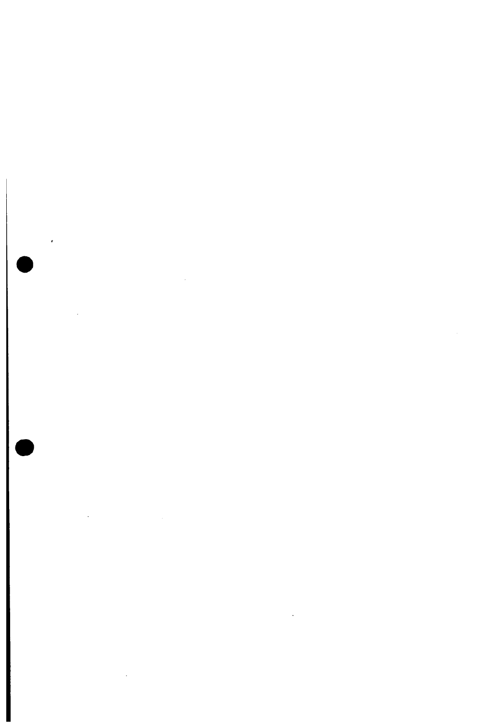

 $\sim 10^{-11}$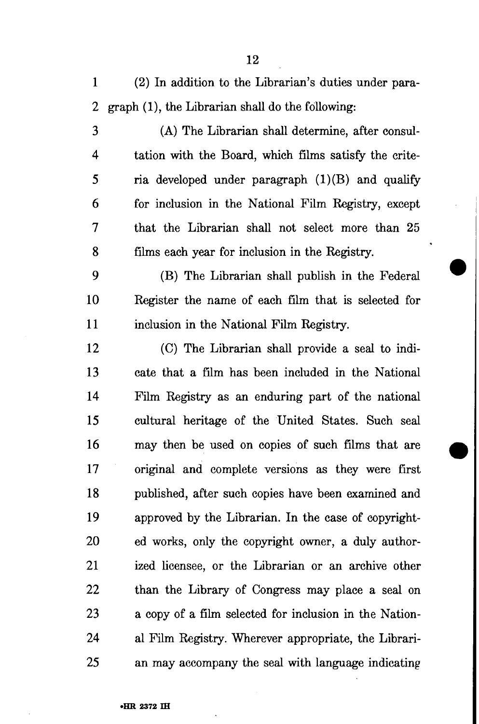1 (2) In addition to the Librarian's duties under para-2 graph (1), the Librarian shall do the following:

3 (A) The Librarian shall determine, after consul-4 tation with the Board, which films satisfy the crite-5 ria developed under paragraph  $(1)(B)$  and qualify 6 for inclusion in the National Film Registry, except 7 that the Librarian shall not select more than 25 8 films each year for inclusion in the Registry.

9 (B) The Librarian shall publish in the Federal 10 Register the name of each film that is selected for 11 inclusion in the National Film Registry.

12 (C) The Librarian shall provide a seal to indi-13 cate that a film has been included in the National 14 Film Registry as an enduring part of the national 15 cultural heritage of the United States. Such seal 16 may then be used on copies of such films that are 17 original and complete versions as they were first 18 published, after such copies have been examined and 19 approved by the Librarian. In the case of copyright-20 ed works, only the copyright owner, a duly author-21 ized licensee, or the Librarian or an archive other 22 than the Library of Congress may place a seal on 23 a copy of a film selected for inclusion in the Nation-24 al Film Registry. Wherever appropriate, the Librari-25 an may accompany the seal with language indicating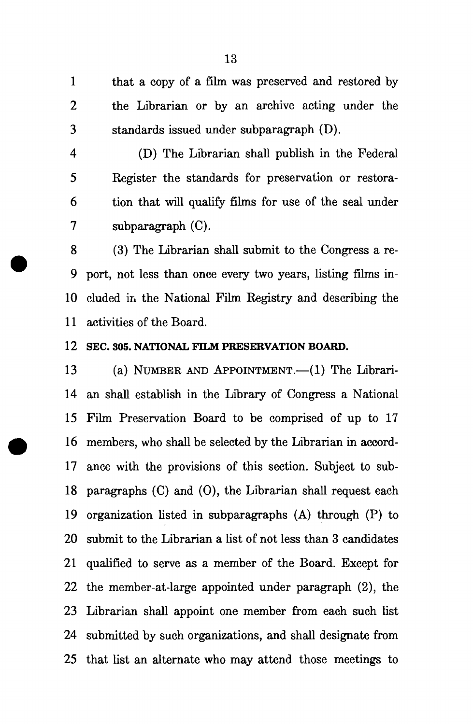1 that a copy of a film was preserved and restored by 2 the Librarian or by an archive acting under the 3 standards issued under subparagraph (D).

4 (D) The Librarian shall publish in the Federal 5 Register the standards for preservation or restora-6 tion that will qualify films for use of the seal under 7 subparagraph (C).

8 (3) The Librarian shall submit to the Congress a re-9 port, not less than once every two years, listing films in-10 eluded in the National Film Registry and describing the 11 activities of the Board.

### **12 SEC. 305. NATIONAL FILM PRESERVATION BOARD.**

13 (a) NUMBER AND APPOINTMENT.—(1) The Librari-14 an shall establish in the Library of Congress a National 15 Film Preservation Board to be comprised of up to 17 16 members, who shall be selected by the Librarian in accord-17 ance with the provisions of this section. Subject to sub-18 paragraphs (C) and (0), the Librarian shall request each 19 organization listed in subparagraphs (A) through (P) to 20 submit to the Librarian a list of not less than 3 candidates 21 qualified to serve as a member of the Board. Except for 22 the member-at-large appointed under paragraph (2), the 23 Librarian shall appoint one member from each such list 24 submitted by such organizations, and shall designate from 25 that list an alternate who may attend those meetings to

13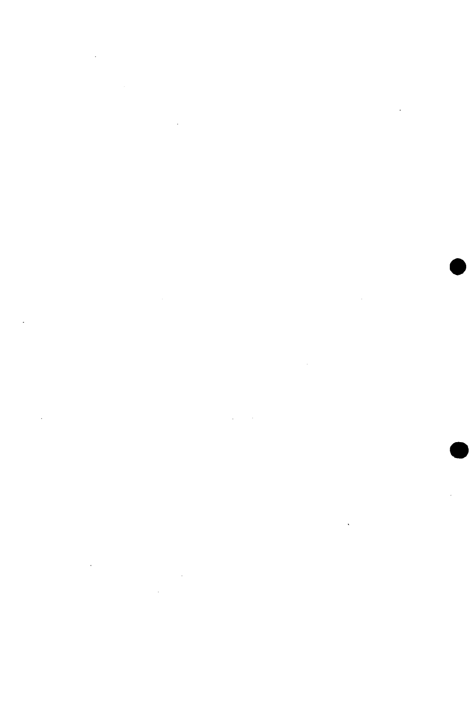$\mathcal{L}^{\text{max}}_{\text{max}}$  and  $\mathcal{L}^{\text{max}}_{\text{max}}$  $\mathcal{L}^{\text{max}}_{\text{max}}$  and  $\mathcal{L}^{\text{max}}_{\text{max}}$  $\mathcal{O}(\mathcal{O}_\mathcal{O})$  . The set of the set of the set of the set of the set of the  $\mathcal{O}(\mathcal{O}_\mathcal{O})$  $\mathcal{L}^{\text{max}}_{\text{max}}$  and  $\mathcal{L}^{\text{max}}_{\text{max}}$  $\mathcal{L}(\mathcal{A})$  and  $\mathcal{L}(\mathcal{A})$  $\mathcal{L}(\mathcal{L}^{\mathcal{L}})$  and  $\mathcal{L}(\mathcal{L}^{\mathcal{L}})$  and  $\mathcal{L}(\mathcal{L}^{\mathcal{L}})$ 

 $\label{eq:2.1} \frac{1}{\sqrt{2}}\left(\frac{1}{\sqrt{2}}\right)^{2} \left(\frac{1}{\sqrt{2}}\right)^{2} \left(\frac{1}{\sqrt{2}}\right)^{2} \left(\frac{1}{\sqrt{2}}\right)^{2} \left(\frac{1}{\sqrt{2}}\right)^{2} \left(\frac{1}{\sqrt{2}}\right)^{2} \left(\frac{1}{\sqrt{2}}\right)^{2} \left(\frac{1}{\sqrt{2}}\right)^{2} \left(\frac{1}{\sqrt{2}}\right)^{2} \left(\frac{1}{\sqrt{2}}\right)^{2} \left(\frac{1}{\sqrt{2}}\right)^{2} \left(\$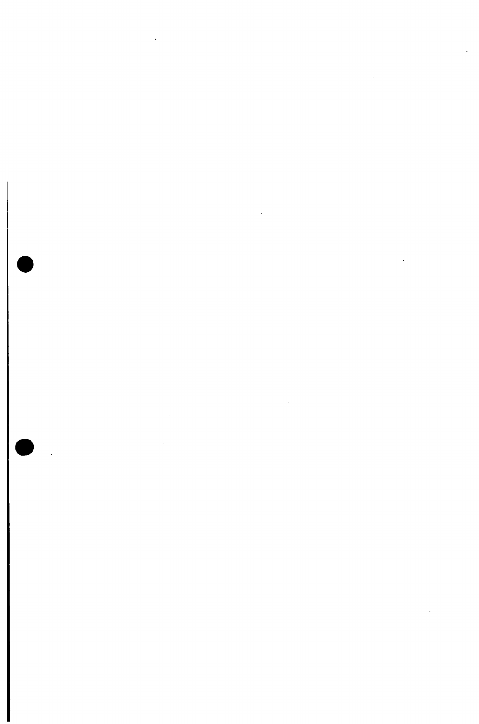$\label{eq:2.1} \frac{1}{\sqrt{2}}\int_{\mathbb{R}^3}\frac{1}{\sqrt{2}}\left(\frac{1}{\sqrt{2}}\right)^2\frac{1}{\sqrt{2}}\left(\frac{1}{\sqrt{2}}\right)^2\frac{1}{\sqrt{2}}\left(\frac{1}{\sqrt{2}}\right)^2.$  $\label{eq:2.1} \frac{1}{\sqrt{2}}\left(\frac{1}{\sqrt{2}}\right)^{2} \left(\frac{1}{\sqrt{2}}\right)^{2} \left(\frac{1}{\sqrt{2}}\right)^{2} \left(\frac{1}{\sqrt{2}}\right)^{2} \left(\frac{1}{\sqrt{2}}\right)^{2} \left(\frac{1}{\sqrt{2}}\right)^{2} \left(\frac{1}{\sqrt{2}}\right)^{2} \left(\frac{1}{\sqrt{2}}\right)^{2} \left(\frac{1}{\sqrt{2}}\right)^{2} \left(\frac{1}{\sqrt{2}}\right)^{2} \left(\frac{1}{\sqrt{2}}\right)^{2} \left(\$ 

 $\tilde{E}_{\rm{eff}}$ 

 $\label{eq:2.1} \frac{1}{\sqrt{2}}\int_{\mathbb{R}^3}\frac{1}{\sqrt{2}}\left(\frac{1}{\sqrt{2}}\right)^2\frac{1}{\sqrt{2}}\left(\frac{1}{\sqrt{2}}\right)^2\frac{1}{\sqrt{2}}\left(\frac{1}{\sqrt{2}}\right)^2\frac{1}{\sqrt{2}}\left(\frac{1}{\sqrt{2}}\right)^2.$  $\label{eq:2.1} \frac{1}{\sqrt{2}}\int_{\mathbb{R}^3}\frac{1}{\sqrt{2}}\left(\frac{1}{\sqrt{2}}\right)^2\frac{1}{\sqrt{2}}\left(\frac{1}{\sqrt{2}}\right)^2\frac{1}{\sqrt{2}}\left(\frac{1}{\sqrt{2}}\right)^2\frac{1}{\sqrt{2}}\left(\frac{1}{\sqrt{2}}\right)^2.$ 

 $\label{eq:2.1} \frac{1}{\sqrt{2\pi}}\int_{\mathbb{R}^3}\frac{1}{\sqrt{2\pi}}\left(\frac{1}{\sqrt{2\pi}}\right)^2\frac{1}{\sqrt{2\pi}}\int_{\mathbb{R}^3}\frac{1}{\sqrt{2\pi}}\frac{1}{\sqrt{2\pi}}\frac{1}{\sqrt{2\pi}}\frac{1}{\sqrt{2\pi}}\frac{1}{\sqrt{2\pi}}\frac{1}{\sqrt{2\pi}}\frac{1}{\sqrt{2\pi}}\frac{1}{\sqrt{2\pi}}\frac{1}{\sqrt{2\pi}}\frac{1}{\sqrt{2\pi}}\frac{1}{\sqrt{2\pi}}\frac{$ 

 $\label{eq:1} \mathcal{H}^{\text{max}}_{\text{max}}(\mathcal{H}^{\text{max}}_{\text{max}})$ 

 $\langle\cdot\rangle$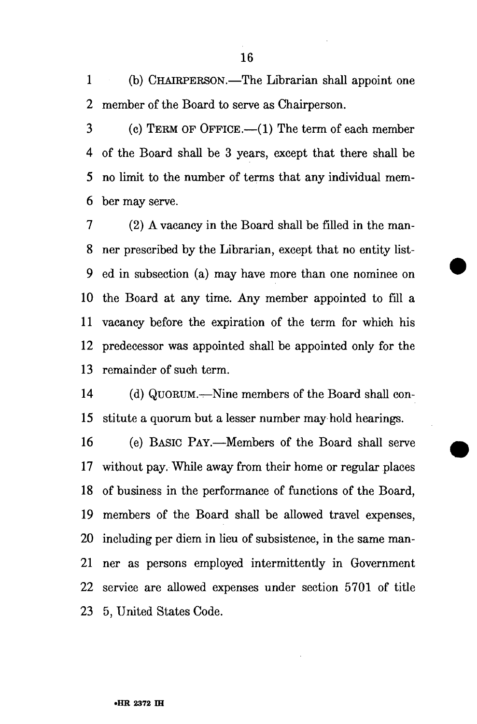1 (b) CHAIRPERSON.—The Librarian shall appoint one 2 member of the Board to serve as Chairperson.

3 (c) TERM OF OFFICE.—(1) The term of each member 4 of the Board shall be 3 years, except that there shall be 5 no limit to the number of terms that any individual mem-6 ber may serve.

7 (2) A vacancy in the Board shall be filled in the man-8 ner prescribed by the Librarian, except that no entity list-9 ed in subsection (a) may have more than one nominee on 10 the Board at any time. Any member appointed to fill a 11 vacancy before the expiration of the term for which his 12 predecessor was appointed shall be appointed only for the 13 remainder of such term.

14 (d) QUORUM.—Nine members of the Board shall con-15 stitute a quorum but a lesser number may hold hearings.

16 (e) BASIC PAY.—Members of the Board shall serve 17 without pay. While away from their home or regular places 18 of business in the performance of functions of the Board, 19 members of the Board shall be allowed travel expenses, 20 including per diem in lieu of subsistence, in the same man-21 ner as persons employed intermittently in Government 22 service are allowed expenses under section 5701 of title 23 5, United States Code.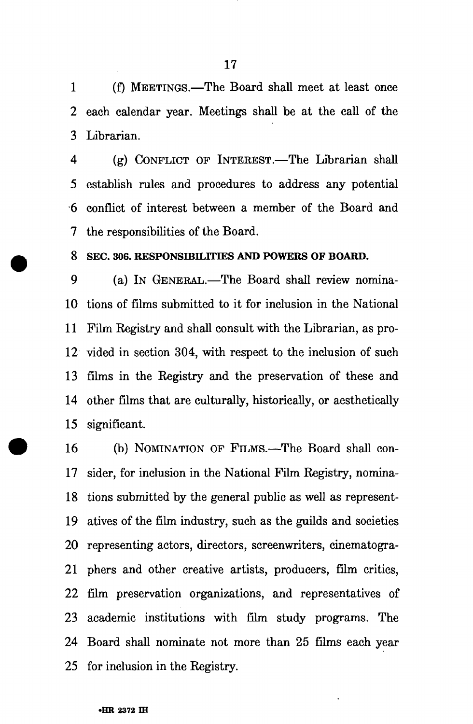1 (f) MEETINGS.—The Board shall meet at least once 2 each calendar year. Meetings shall be at the call of the 3 Librarian.

4 (g) CONFLICT OF INTEREST.—The Librarian shall 5 establish rules and procedures to address any potential 6 conflict of interest between a member of the Board and 7 the responsibilities of the Board.

**8 SEC. 306. RESPONSIBILITIES AND POWERS OF BOARD.** 

9 (a) IN GENERAL.—The Board shall review nomina-10 tions of films submitted to it for inclusion in the National 11 Film Registry and shall consult with the Librarian, as pro-12 vided in section 304, with respect to the inclusion of such 13 films in the Registry and the preservation of these and 14 other films that are culturally, historically, or aesthetically 15 significant.

16 (b) NOMINATION OF FILMS.—The Board shall con-17 sider, for inclusion in the National Film Registry, nomina-18 tions submitted by the general public as well as represent-19 atives of the film industry, such as the guilds and societies 20 representing actors, directors, screenwriters, cinematogra-21 phers and other creative artists, producers, film critics, 22 film preservation organizations, and representatives of 23 academic institutions with film study programs. The 24 Board shall nominate not more than 25 films each year 25 for inclusion in the Registry.

## 17

#### **•HR 2372 IH**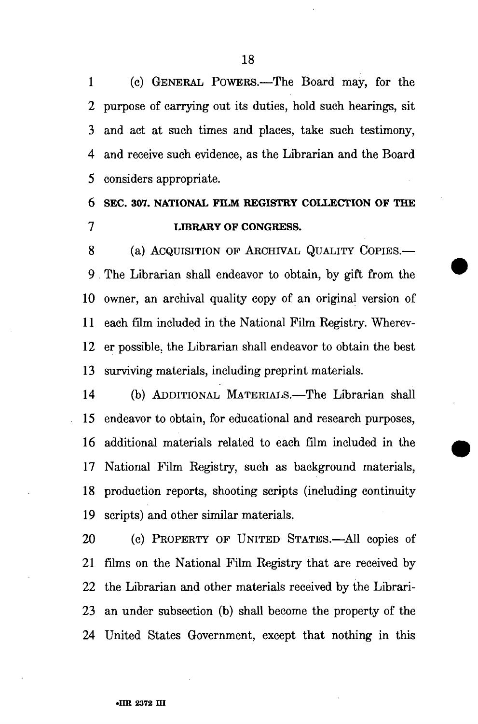1 (c) GENERAL POWERS.—The Board may, for the 2 purpose of carrying out its duties, hold such hearings, sit 3 and act at such times and places, take such testimony, 4 and receive such evidence, as the Librarian and the Board 5 considers appropriate.

# **6 SEC. 307. NATIONAL FILM REGISTRY COLLECTION OF THE 7 LIBRARY OF CONGRESS.**

8 (a) ACQUISITION OF ARCHIVAL QUALITY COPIES.— 9 The Librarian shall endeavor to obtain, by gift from the 10 owner, an archival quality copy of an original version of 11 each film included in the National Film Registry. Wherev-12 er possible, the Librarian shall endeavor to obtain the best 13 surviving materials, including preprint materials.

14 (b) ADDITIONAL MATERIALS.—The Librarian shall 15 endeavor to obtain, for educational and research purposes, 16 additional materials related to each film included in the 17 National Film Registry, such as background materials, 18 production reports, shooting scripts (including continuity 19 scripts) and other similar materials.

20 (c) PROPERTY OF UNITED STATES.—All copies of 21 films on the National Film Registry that are received by 22 the Librarian and other materials received by the Librari-23 an under subsection (b) shall become the property of the 24 United States Government, except that nothing in this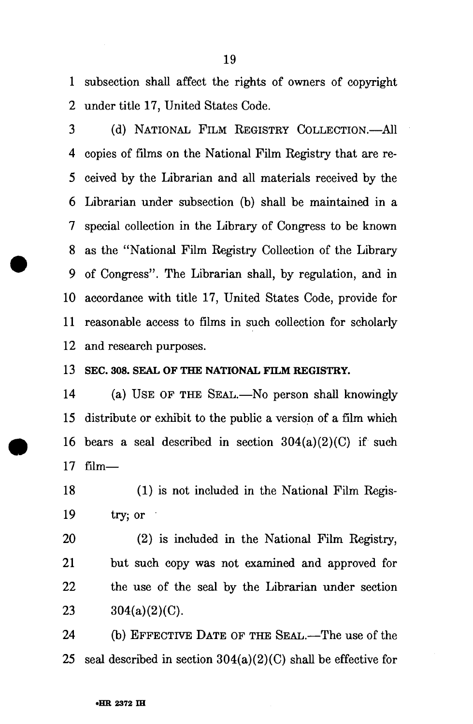1 subsection shall affect the rights of owners of copyright 2 under title 17, United States Code.

3 (d) NATIONAL FILM REGISTRY COLLECTION.—All 4 copies of films on the National Film Registry that are re-5 ceived by the Librarian and all materials received by the 6 Librarian under subsection (b) shall be maintained in a 7 special collection in the Library of Congress to be known 8 as the "National Film Registry Collection of the Library 9 of Congress". The Librarian shall, by regulation, and in 10 accordance with title 17, United States Code, provide for 11 reasonable access to films in such collection for scholarly 12 and research purposes.

**13 SEC. 308. SEAL OF THE NATIONAL FILM REGISTRY.** 

14 (a) USE OF THE SEAL.—No person shall knowingly 15 distribute or exhibit to the public a version of a film which 16 bears a seal described in section  $304(a)(2)(C)$  if such 17 film—

18 (1) is not included in the National Film Regis-19 try; or

20 (2) is included in the National Film Registry, 21 but such copy was not examined and approved for 22 the use of the seal by the Librarian under section 23  $304(a)(2)(C)$ .

24 (b) EFFECTIVE DATE OF THE SEAL.—The use of the 25 seal described in section  $304(a)(2)(C)$  shall be effective for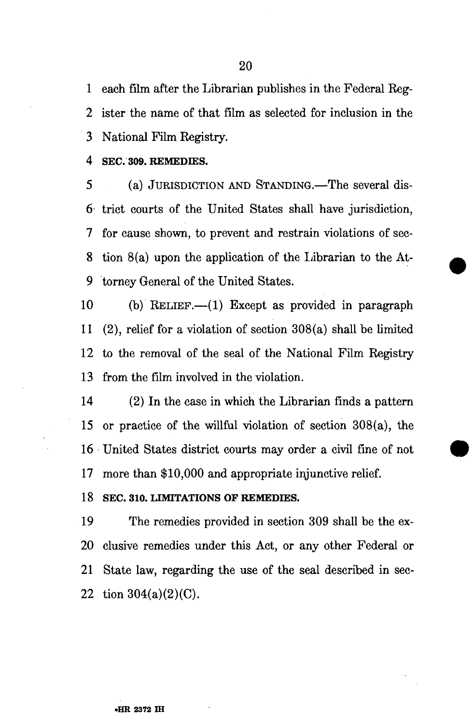1 each film after the Librarian publishes in the Federal Reg-2 ister the name of that film as selected for inclusion in the 3 National Film Registry.

#### **4 SEC. 309. REMEDIES.**

5 (a) JURISDICTION AND STANDING.—The several dis-6 trict courts of the United States shall have jurisdiction, 7 for cause shown, to prevent and restrain violations of sec-8 tion 8(a) upon the application of the Librarian to the At-9 torney General of the United States.

10 (b) RELIEF.—(1) Except as provided in paragraph 11 (2), relief for a violation of section 308(a) shall be limited 12 to the removal of the seal of the National Film Registry 13 from the film involved in the violation.

14 (2) In the case in which the Librarian finds a pattern 15 or practice of the willful violation of section 308(a), the 16 United States district courts may order a civil fine of not 17 more than \$10,000 and appropriate injunctive relief.

### **18 SEC. 310. LIMITATIONS OF REMEDIES.**

19 The remedies provided in section 309 shall be the ex-20 elusive remedies under this Act, or any other Federal or 21 State law, regarding the use of the seal described in sec-22 tion  $304(a)(2)(C)$ .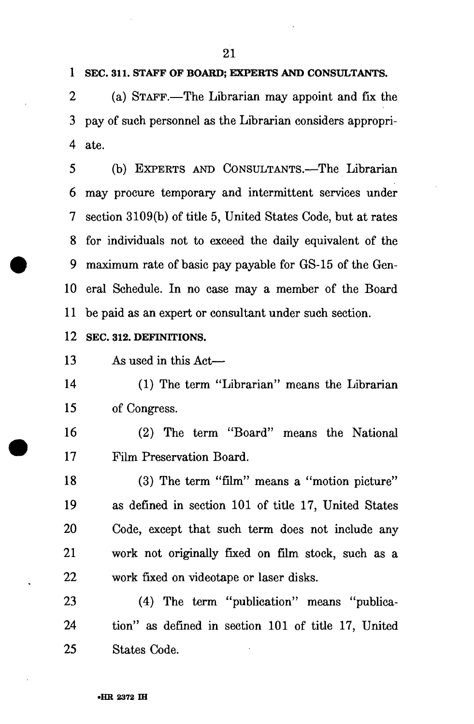2 (a) STAFF.—The Librarian may appoint and fix the 3 pay of such personnel as the Librarian considers appropri-4 ate.

5 (b) EXPERTS AND CONSULTANTS.—The Librarian 6 may procure temporary and intermittent services under 7 section 3109(b) of title 5, United States Code, but at rates 8 for individuals not to exceed the daily equivalent of the 9 maximum rate of basic pay payable for GS-15 of the Gen-10 eral Schedule. In no case may a member of the Board 11 be paid as an expert or consultant under such section.

### **12 SEC. 312. DEFINITIONS.**

13 As used in this Act—

14 (1) The term "Librarian" means the Librarian 15 of Congress.

16 (2) The term "Board" means the National 17 Film Preservation Board.

18 (3) The term "film" means a "motion picture" 19 as defined in section 101 of title 17, United States 20 Code, except that such term does not include any 21 work not originally fixed on film stock, such as a 22 work fixed on videotape or laser disks.

23 (4) The term "publication" means "publica-24 tion" as defined in section 101 of title 17, United 25 States Code.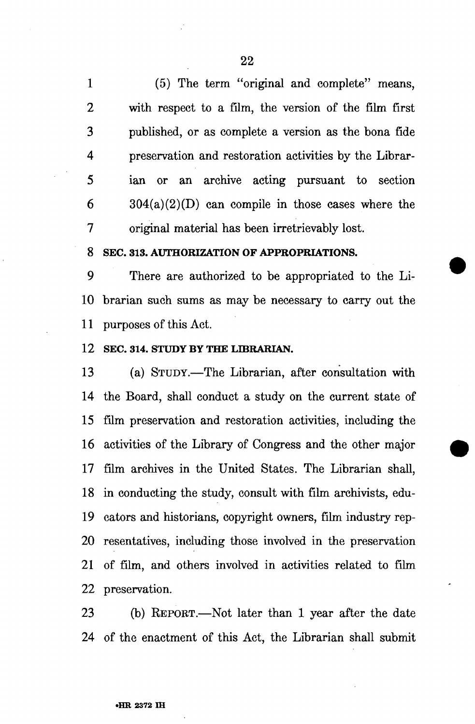1 (5) The term "original and complete" means, 2 with respect to a film, the version of the film first 3 published, or as complete a version as the bona fide 4 preservation and restoration activities by the Librar-5 ian or an archive acting pursuant to section 6  $304(a)(2)(D)$  can compile in those cases where the 7 original material has been irretrievably lost.

## **8 SEC. 313. AUTHORIZATION OF APPROPRIATIONS.**

9 There are authorized to be appropriated to the Li-10 brarian such sums as may be necessary to carry out the 11 purposes of this Act.

### **12 SEC. 314. STUDY BY THE LIBRARIAN.**

13 (a) STUDY.—The Librarian, after consultation with 14 the Board, shall conduct a study on the current state of 15 film preservation and restoration activities, including the 16 activities of the Library of Congress and the other major 17 film archives in the United States. The Librarian shall, 18 in conducting the study, consult with film archivists, edu-19 cators and historians, copyright owners, film industry rep-20 resentatives, including those involved in the preservation 21 of film, and others involved in activities related to film 22 preservation.

23 (b) REPORT.—Not later than 1 year after the date 24 of the enactment of this Act, the Librarian shall submit

### 22